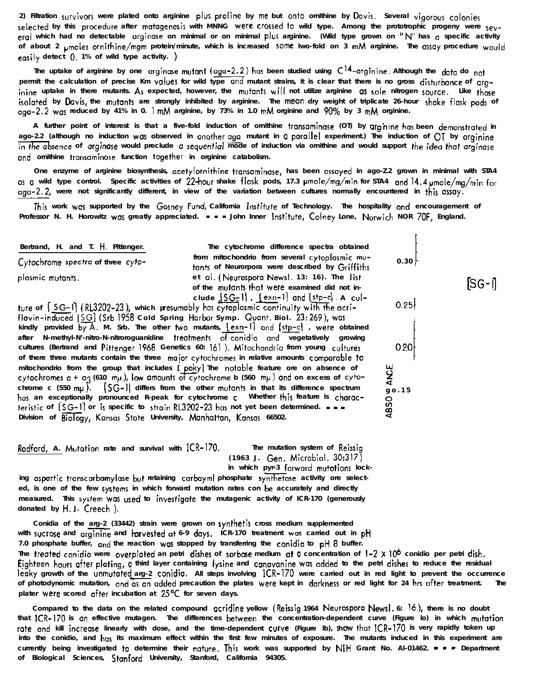**Radford, A. Mutation** rate and survival with  ${[CR-170]}$ . The mutation system of Reissin

**(1963 J. Gen. Microbial. 30:317)** in which pyr-3 forward mutations lock-

ing aspartic transcarbamylase but retaining carbayml phosphate synthetase activity ore selected, is one of the few systems in which forward mutation rates con be accurately and directly **measured. This system was used to invertigote the mutagenic activity of ICR-170 (generously donated by H. J. Creech ).**

**Conidia of the arg-2 (33442) strain were grown on synthetis cross medium supplemented** with sucrose and arginine and harvested at 6-9 days. ICR-170 treatment was carried out in pH **7.0 phosphate buffer, and the reaction was stopped by transferring the canidio to pH 8 buffer.** The **treated** conidia were overplated an petri dishes of sorbose medium at a concentration of  $1-2 \times 10^6$  conidio per petri dish. **E/ghteen hours after plating, C I third layer containing lyrine and cymavonine was added to the petri dishes to reduce the residual leaky growth of the unmutoted arg-2 conidio. All steps involving ICR-170 were carried out in red light to prevent the occurrence** of photodynomic mutation, and as an added precaution the plates were kept in darkness or red light for 24 hrs after treatment. The **plater were scored offer incubation at 25'C for seven days.**

**Compared to the data on the related compound ocridine yellow (Reirsig 1964 Neurorpora Nwrl. 6: 16), there is no doubt** that ICR-170 is an effective mutagen. The differences between the concentration-dependent curve (Figure Io) in which mutation **rote and kill increase linearly with dose, and the time-dependent curve (Figure lb), Ih ow that ICR-170 is very rapidly token up into the conidio, and her its maximum effect within the first few minutes of exposure. The mutants induced in this experiment are currently being investigated to determine their nature. This work was supported by NIH Grant No. Al-01462. - - - Department of Biological Sciences, Stanford University, Stanford, California 94305.**